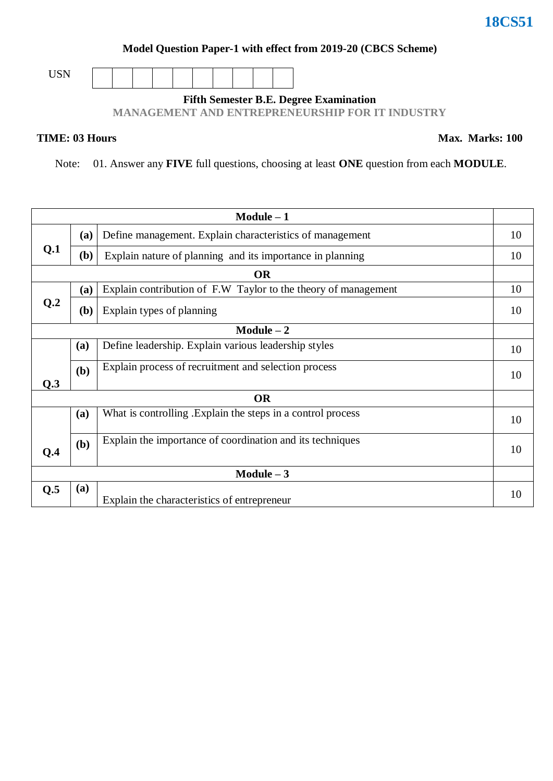#### **Model Question Paper-1 with effect from 2019-20 (CBCS Scheme)**

USN

### **Fifth Semester B.E. Degree Examination**

**MANAGEMENT AND ENTREPRENEURSHIP FOR IT INDUSTRY**

#### **TIME: 03 Hours**

Note: 01. Answer any **FIVE** full questions, choosing at least **ONE** question from each **MODULE**.

| $Module - 1$ |           |                                                                |    |  |  |
|--------------|-----------|----------------------------------------------------------------|----|--|--|
|              | (a)       | Define management. Explain characteristics of management       | 10 |  |  |
| Q.1          | (b)       | Explain nature of planning and its importance in planning      | 10 |  |  |
|              | <b>OR</b> |                                                                |    |  |  |
|              | (a)       | Explain contribution of F.W Taylor to the theory of management | 10 |  |  |
| Q.2          | (b)       | Explain types of planning                                      | 10 |  |  |
|              |           | $Module - 2$                                                   |    |  |  |
|              | (a)       | Define leadership. Explain various leadership styles           | 10 |  |  |
| Q.3          | (b)       | Explain process of recruitment and selection process           | 10 |  |  |
| <b>OR</b>    |           |                                                                |    |  |  |
|              | (a)       | What is controlling . Explain the steps in a control process   | 10 |  |  |
| Q.4          | (b)       | Explain the importance of coordination and its techniques      | 10 |  |  |
| Module $-3$  |           |                                                                |    |  |  |
| Q.5          | (a)       | Explain the characteristics of entrepreneur                    | 10 |  |  |

## **18CS51**

**Max. Marks: 100**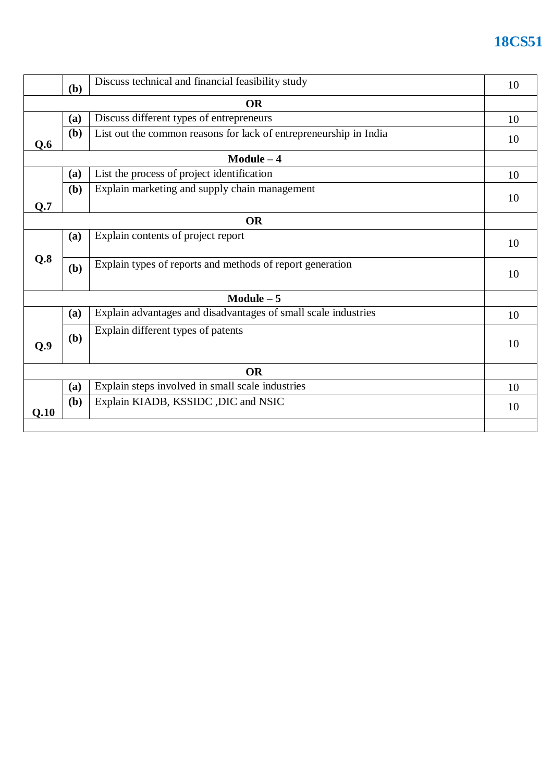## **18CS51**

|           | (b)          | Discuss technical and financial feasibility study                 |    |  |  |
|-----------|--------------|-------------------------------------------------------------------|----|--|--|
|           |              | <b>OR</b>                                                         |    |  |  |
|           | (a)          | Discuss different types of entrepreneurs                          | 10 |  |  |
| Q.6       | ( <b>b</b> ) | List out the common reasons for lack of entrepreneurship in India | 10 |  |  |
|           |              | $Module - 4$                                                      |    |  |  |
|           | (a)          | List the process of project identification                        | 10 |  |  |
|           | (b)          | Explain marketing and supply chain management                     | 10 |  |  |
| Q.7       |              |                                                                   |    |  |  |
| <b>OR</b> |              |                                                                   |    |  |  |
|           | (a)          | Explain contents of project report                                | 10 |  |  |
| Q.8       | (b)          | Explain types of reports and methods of report generation         | 10 |  |  |
|           | $Module - 5$ |                                                                   |    |  |  |
|           | (a)          | Explain advantages and disadvantages of small scale industries    | 10 |  |  |
| Q.9       | (b)          | Explain different types of patents                                | 10 |  |  |
| <b>OR</b> |              |                                                                   |    |  |  |
|           | (a)          | Explain steps involved in small scale industries                  | 10 |  |  |
| Q.10      | (b)          | Explain KIADB, KSSIDC , DIC and NSIC                              | 10 |  |  |
|           |              |                                                                   |    |  |  |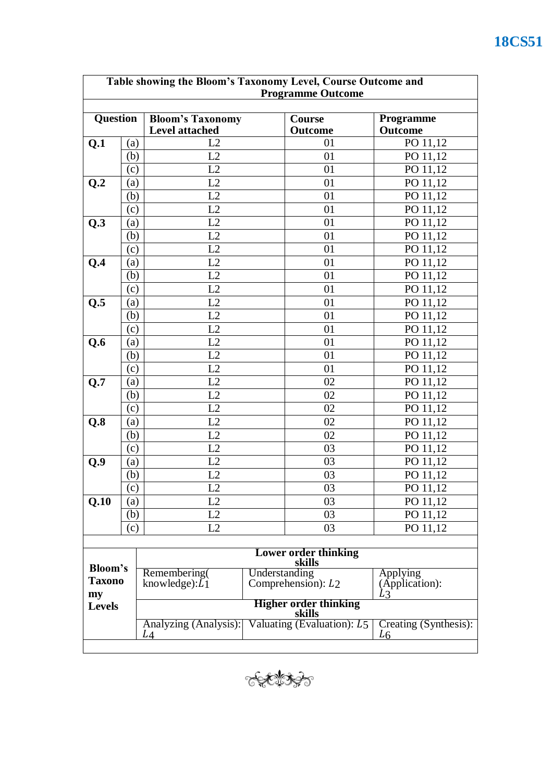| Table showing the Bloom's Taxonomy Level, Course Outcome and<br><b>Programme Outcome</b> |     |                                       |  |                                |                                         |  |  |
|------------------------------------------------------------------------------------------|-----|---------------------------------------|--|--------------------------------|-----------------------------------------|--|--|
|                                                                                          |     |                                       |  |                                |                                         |  |  |
| Question                                                                                 |     | <b>Bloom's Taxonomy</b>               |  | Course                         | Programme                               |  |  |
|                                                                                          |     | <b>Level attached</b><br>L2           |  | <b>Outcome</b>                 | <b>Outcome</b>                          |  |  |
| Q.1                                                                                      | (a) | L2                                    |  | 01                             | PO 11,12                                |  |  |
|                                                                                          | (b) |                                       |  | 01                             | PO 11,12                                |  |  |
|                                                                                          | (c) | L2                                    |  | 01                             | PO 11,12                                |  |  |
| Q.2                                                                                      | (a) | L2                                    |  | 01                             | PO 11,12                                |  |  |
|                                                                                          | (b) | L2                                    |  | 01                             | PO 11,12                                |  |  |
|                                                                                          | (c) | L2                                    |  | 01                             | PO 11,12                                |  |  |
| Q.3                                                                                      | (a) | L2                                    |  | 01                             | PO 11,12                                |  |  |
|                                                                                          | (b) | L2                                    |  | 01                             | PO 11,12                                |  |  |
|                                                                                          | (c) | L2                                    |  | 01                             | PO 11,12                                |  |  |
| Q.4                                                                                      | (a) | L2                                    |  | 01                             | PO 11,12                                |  |  |
|                                                                                          | (b) | L2                                    |  | 01                             | PO 11,12                                |  |  |
|                                                                                          | (c) | L2                                    |  | 01                             | PO 11,12                                |  |  |
| Q.5                                                                                      | (a) | L2                                    |  | 01                             | PO 11,12                                |  |  |
|                                                                                          | (b) | L2                                    |  | 01                             | PO 11,12                                |  |  |
|                                                                                          | (c) | L2                                    |  | 01                             | PO 11,12                                |  |  |
| Q.6                                                                                      | (a) | L2                                    |  | 01                             | PO 11,12                                |  |  |
|                                                                                          | (b) | L2                                    |  | 01                             | PO 11,12                                |  |  |
|                                                                                          | (c) | L2                                    |  | 01                             | PO 11,12                                |  |  |
| Q.7                                                                                      | (a) | L2                                    |  | 02                             | PO 11,12                                |  |  |
|                                                                                          | (b) | L2                                    |  | 02                             | PO 11,12                                |  |  |
|                                                                                          | (c) | L2                                    |  | 02                             | PO 11,12                                |  |  |
| Q.8                                                                                      | (a) | L2                                    |  | 02                             | PO 11,12                                |  |  |
|                                                                                          | (b) | L2                                    |  | 02                             | PO 11,12                                |  |  |
|                                                                                          | (c) | L2                                    |  | 03                             | PO 11,12                                |  |  |
| Q.9                                                                                      | (a) | L2                                    |  | 03                             | PO 11,12                                |  |  |
|                                                                                          | (b) | L2                                    |  | 03                             | PO 11,12                                |  |  |
|                                                                                          | (c) | L2                                    |  | 03                             | PO 11,12                                |  |  |
| Q.10                                                                                     | (a) | L2                                    |  | 03                             | PO 11,12                                |  |  |
|                                                                                          | (b) | L2                                    |  | 03                             | PO 11,12                                |  |  |
|                                                                                          | (c) | L2                                    |  | 03                             | PO 11,12                                |  |  |
|                                                                                          |     |                                       |  |                                |                                         |  |  |
|                                                                                          |     | <b>Lower order thinking</b><br>skills |  |                                |                                         |  |  |
| Bloom's                                                                                  |     | Remembering(<br>Understanding         |  |                                | <b>Applying</b>                         |  |  |
| <b>Taxono</b>                                                                            |     | knowledge): $\overline{L}_1$          |  | Comprehension): L <sub>2</sub> | (Application):                          |  |  |
| my<br><b>Levels</b>                                                                      |     |                                       |  | <b>Higher order thinking</b>   | LЗ                                      |  |  |
|                                                                                          |     | skills                                |  |                                |                                         |  |  |
|                                                                                          |     | Analyzing (Analysis):<br>L4           |  | Valuating (Evaluation): $L_5$  | Creating (Synthesis):<br>L <sub>6</sub> |  |  |
|                                                                                          |     |                                       |  |                                |                                         |  |  |

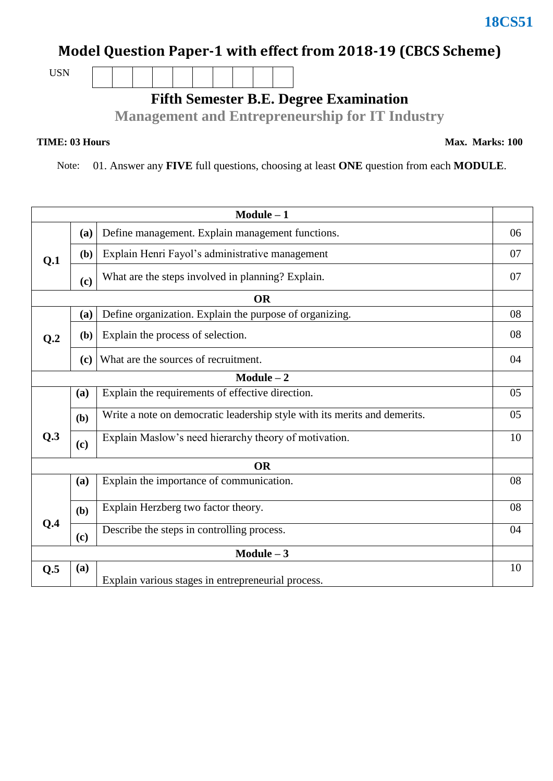# **Model Question Paper-1 with effect from 2018-19 (CBCS Scheme)**

USN

**Fifth Semester B.E. Degree Examination**

**Management and Entrepreneurship for IT Industry**

Note: 01. Answer any **FIVE** full questions, choosing at least **ONE** question from each **MODULE**.

| $Module - 1$    |                                                 |                                                                           |    |  |  |
|-----------------|-------------------------------------------------|---------------------------------------------------------------------------|----|--|--|
|                 | (a)                                             | Define management. Explain management functions.                          | 06 |  |  |
| Q.1             | (b)                                             | Explain Henri Fayol's administrative management                           |    |  |  |
|                 | $\left( \mathbf{c}\right)$                      | What are the steps involved in planning? Explain.                         | 07 |  |  |
|                 |                                                 | <b>OR</b>                                                                 |    |  |  |
| Q <sub>.2</sub> | (a)                                             | Define organization. Explain the purpose of organizing.                   | 08 |  |  |
|                 | (b)                                             | Explain the process of selection.                                         |    |  |  |
|                 | (c)                                             | What are the sources of recruitment.                                      |    |  |  |
| $Module - 2$    |                                                 |                                                                           |    |  |  |
|                 | (a)                                             | Explain the requirements of effective direction.                          | 05 |  |  |
|                 | (b)                                             | Write a note on democratic leadership style with its merits and demerits. | 05 |  |  |
| Q.3             | (c)                                             | Explain Maslow's need hierarchy theory of motivation.                     | 10 |  |  |
| <b>OR</b>       |                                                 |                                                                           |    |  |  |
|                 | Explain the importance of communication.<br>(a) |                                                                           |    |  |  |
|                 | (b)                                             | Explain Herzberg two factor theory.                                       | 08 |  |  |
| Q.4             | (c)                                             | Describe the steps in controlling process.                                | 04 |  |  |
| Module $-3$     |                                                 |                                                                           |    |  |  |
| Q.5             | (a)                                             | Explain various stages in entrepreneurial process.                        | 10 |  |  |

**TIME: 03 Hours** Max. Marks: 100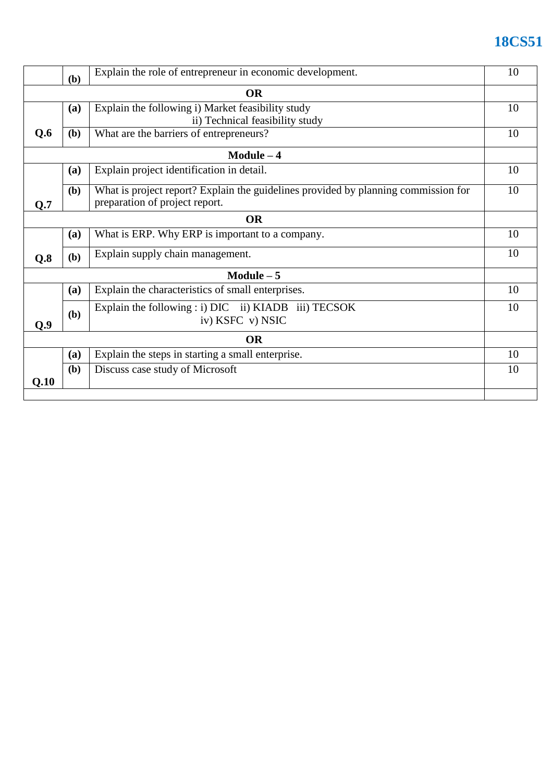# **18CS51**

|             | (b) | Explain the role of entrepreneur in economic development.                                                            |    |  |  |  |
|-------------|-----|----------------------------------------------------------------------------------------------------------------------|----|--|--|--|
| <b>OR</b>   |     |                                                                                                                      |    |  |  |  |
|             | (a) | Explain the following i) Market feasibility study                                                                    | 10 |  |  |  |
|             |     | ii) Technical feasibility study                                                                                      |    |  |  |  |
| Q.6         | (b) | What are the barriers of entrepreneurs?                                                                              | 10 |  |  |  |
| Module $-4$ |     |                                                                                                                      |    |  |  |  |
|             | (a) | Explain project identification in detail.                                                                            | 10 |  |  |  |
| Q.7         | (b) | What is project report? Explain the guidelines provided by planning commission for<br>preparation of project report. | 10 |  |  |  |
| <b>OR</b>   |     |                                                                                                                      |    |  |  |  |
|             | (a) | What is ERP. Why ERP is important to a company.                                                                      | 10 |  |  |  |
| Q.8         | (b) | Explain supply chain management.                                                                                     | 10 |  |  |  |
| Module $-5$ |     |                                                                                                                      |    |  |  |  |
|             | (a) | Explain the characteristics of small enterprises.                                                                    | 10 |  |  |  |
| Q.9         | (b) | Explain the following : i) DIC ii) KIADB iii) TECSOK<br>iv) KSFC v) NSIC                                             | 10 |  |  |  |
| <b>OR</b>   |     |                                                                                                                      |    |  |  |  |
|             | (a) | Explain the steps in starting a small enterprise.                                                                    | 10 |  |  |  |
| Q.10        | (b) | Discuss case study of Microsoft                                                                                      | 10 |  |  |  |
|             |     |                                                                                                                      |    |  |  |  |